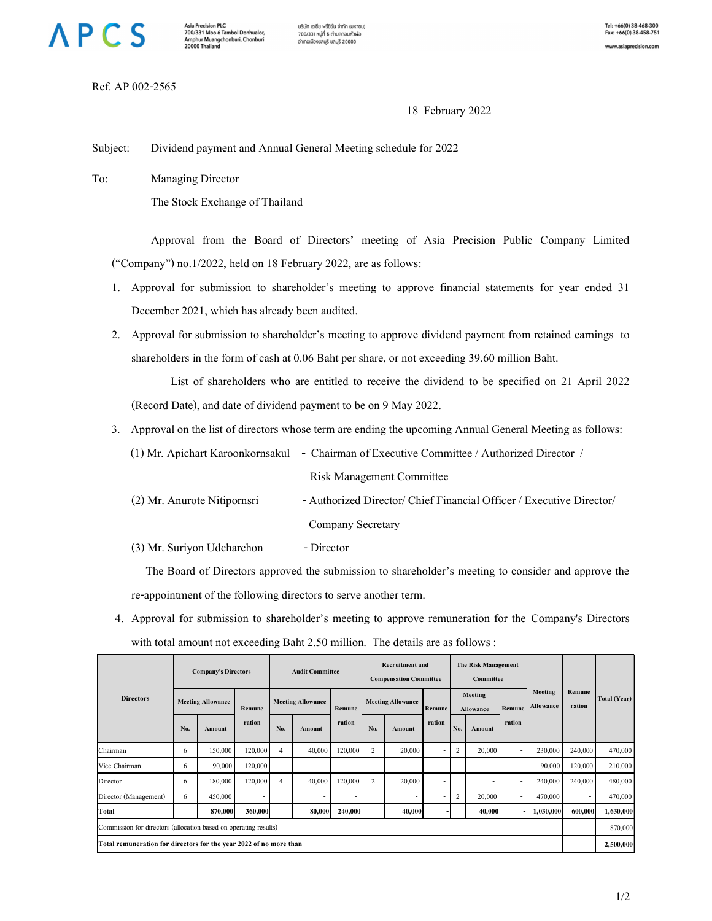## **APCS**

**Asia Precision PLC** Asia Precision PLC<br>700/331 Moo 6 Tambol Donhualor,<br>Amphur Muangchonburi, Chonburi<br>20000 Thailand บริษัท เอเชีย พรีซิชั่น จำกัด (มหาชน) 700/331 หมู่ที่ 6 ตำบลดอนหัวพ่อ อำเภอเมืองชลบุรี ชลบุรี 20000

Ref. AP 002-2565

18 February 2022

Subject: Dividend payment and Annual General Meeting schedule for 2022

- 1. Approval for submission to shareholder's meeting to approve financial statements for year ended 31 December 2021, which has already been audited.
- 2. Approval for submission to shareholder's meeting to approve dividend payment from retained earnings to shareholders in the form of cash at 0.06 Baht per share, or not exceeding 39.60 million Baht.

|                             | (1) Mr. Apichart Karoonkornsakul - Chairman of Executive Committee / Authorized Director / |  |  |
|-----------------------------|--------------------------------------------------------------------------------------------|--|--|
|                             | <b>Risk Management Committee</b>                                                           |  |  |
| (2) Mr. Anurote Nitipornsri | - Authorized Director/ Chief Financial Officer / Executive Director/                       |  |  |
|                             | Company Secretary                                                                          |  |  |
| (3) Mr. Suriyon Udcharchon  | - Director                                                                                 |  |  |

|                                                                  |                                                                  |                  |                                                                    |                                                  | Dividend payment and Annual General Meeting schedule for 2022                                              |                           |                             |                  |                      |
|------------------------------------------------------------------|------------------------------------------------------------------|------------------|--------------------------------------------------------------------|--------------------------------------------------|------------------------------------------------------------------------------------------------------------|---------------------------|-----------------------------|------------------|----------------------|
| Го:                                                              | Managing Director                                                |                  |                                                                    |                                                  |                                                                                                            |                           |                             |                  |                      |
|                                                                  | The Stock Exchange of Thailand                                   |                  |                                                                    |                                                  |                                                                                                            |                           |                             |                  |                      |
|                                                                  |                                                                  |                  |                                                                    |                                                  |                                                                                                            |                           |                             |                  |                      |
|                                                                  |                                                                  |                  |                                                                    |                                                  | Approval from the Board of Directors' meeting of Asia Precision Public Company Limited                     |                           |                             |                  |                      |
|                                                                  | ("Company") no.1/2022, held on 18 February 2022, are as follows: |                  |                                                                    |                                                  |                                                                                                            |                           |                             |                  |                      |
|                                                                  |                                                                  |                  |                                                                    |                                                  | 1. Approval for submission to shareholder's meeting to approve financial statements for year ended 31      |                           |                             |                  |                      |
|                                                                  | December 2021, which has already been audited.                   |                  |                                                                    |                                                  |                                                                                                            |                           |                             |                  |                      |
|                                                                  |                                                                  |                  |                                                                    |                                                  | 2. Approval for submission to shareholder's meeting to approve dividend payment from retained earnings to  |                           |                             |                  |                      |
|                                                                  |                                                                  |                  |                                                                    |                                                  | shareholders in the form of cash at 0.06 Baht per share, or not exceeding 39.60 million Baht.              |                           |                             |                  |                      |
|                                                                  |                                                                  |                  |                                                                    |                                                  | List of shareholders who are entitled to receive the dividend to be specified on 21 April 2022             |                           |                             |                  |                      |
|                                                                  |                                                                  |                  |                                                                    |                                                  | (Record Date), and date of dividend payment to be on 9 May 2022.                                           |                           |                             |                  |                      |
|                                                                  |                                                                  |                  |                                                                    |                                                  | 3. Approval on the list of directors whose term are ending the upcoming Annual General Meeting as follows: |                           |                             |                  |                      |
|                                                                  |                                                                  |                  |                                                                    |                                                  | (1) Mr. Apichart Karoonkornsakul - Chairman of Executive Committee / Authorized Director /                 |                           |                             |                  |                      |
|                                                                  |                                                                  |                  |                                                                    |                                                  | <b>Risk Management Committee</b>                                                                           |                           |                             |                  |                      |
|                                                                  | (2) Mr. Anurote Nitipornsri                                      |                  |                                                                    |                                                  | - Authorized Director/ Chief Financial Officer / Executive Director/                                       |                           |                             |                  |                      |
|                                                                  |                                                                  |                  |                                                                    | Company Secretary                                |                                                                                                            |                           |                             |                  |                      |
|                                                                  | (3) Mr. Suriyon Udcharchon                                       |                  |                                                                    | - Director                                       |                                                                                                            |                           |                             |                  |                      |
|                                                                  |                                                                  |                  |                                                                    |                                                  | The Board of Directors approved the submission to shareholder's meeting to consider and approve the        |                           |                             |                  |                      |
|                                                                  |                                                                  |                  |                                                                    |                                                  |                                                                                                            |                           |                             |                  |                      |
|                                                                  | re-appointment of the following directors to serve another term. |                  |                                                                    |                                                  |                                                                                                            |                           |                             |                  |                      |
|                                                                  |                                                                  |                  |                                                                    |                                                  | 4. Approval for submission to shareholder's meeting to approve remuneration for the Company's Directors    |                           |                             |                  |                      |
|                                                                  |                                                                  |                  |                                                                    |                                                  | with total amount not exceeding Baht 2.50 million. The details are as follows :                            |                           |                             |                  |                      |
|                                                                  | <b>Company's Directors</b><br><b>Audit Committee</b>             |                  |                                                                    | Recruitment and<br><b>Compensation Committee</b> | The Risk Management<br>Committee                                                                           |                           |                             |                  |                      |
| <b>Directors</b>                                                 | <b>Meeting Allowance</b>                                         |                  | <b>Meeting Allowance</b>                                           |                                                  | <b>Meeting Allowance</b>                                                                                   | Meeting                   | <b>Meeting</b><br>Allowance | Remune<br>ration | Total (Year)         |
|                                                                  |                                                                  | Remune<br>ration |                                                                    | Remune<br>ration                                 | Remune<br>ration                                                                                           | Allowance                 | Remune<br>ration            |                  |                      |
| Chairman                                                         | No.<br>Amount<br>150,000<br>6                                    | 120,000          | No.<br>Amount<br>40,000<br>$\overline{4}$                          | 120,000                                          | No.<br>Amount<br>20,000<br>$\overline{2}$                                                                  | Amount<br>No. .<br>20,000 | 230,000                     | 240,000          | 470,000              |
| Vice Chairman                                                    | - 6<br>90,000                                                    | 120,000          |                                                                    |                                                  |                                                                                                            |                           | 90,000                      | 120,000          | 210,000              |
| Director                                                         | - 6<br>180,000                                                   | 120,000          | 40,000<br>$\overline{4}$                                           | 120,000                                          | 20,000<br>$\overline{2}$                                                                                   |                           | 240,000                     | 240,000          | 480,000              |
| Director (Management)<br>Total                                   | 450,000<br>-6<br>870,000                                         | 360,000          |                                                                    | 80,000 240,000                                   | 40,000                                                                                                     | 2<br>20,000<br>40,000     | 470,000<br>1,030,000        | 600,000          | 470,000<br>1,630,000 |
|                                                                  |                                                                  |                  |                                                                    |                                                  |                                                                                                            |                           |                             |                  | 870,000              |
| Commission for directors (allocation based on operating results) |                                                                  |                  | Total remuneration for directors for the year 2022 of no more than |                                                  |                                                                                                            |                           |                             |                  | 2,500,000            |